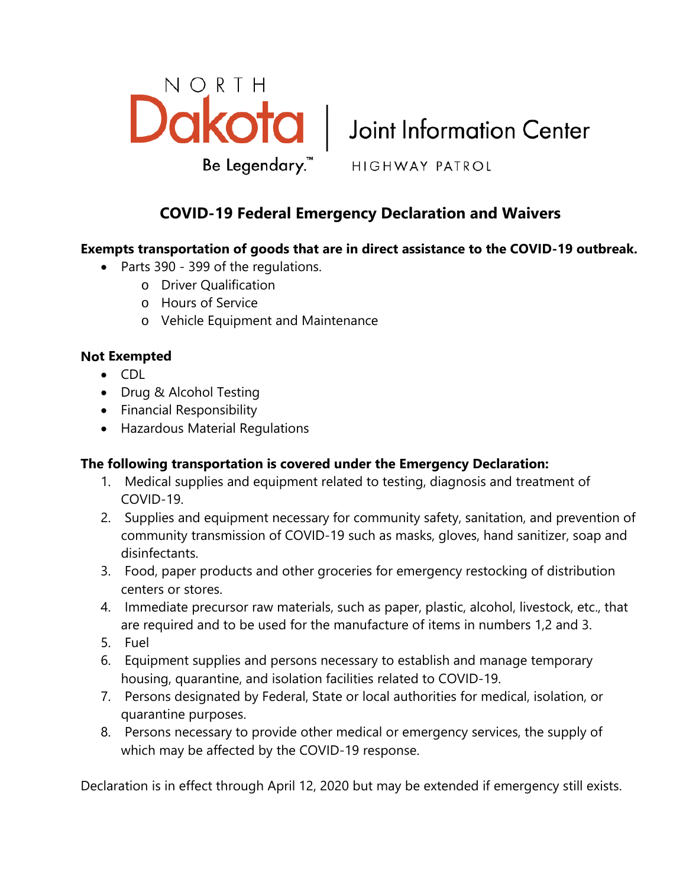

Be Legendary.<sup>™</sup> HIGHWAY PATROL

# **COVID-19 Federal Emergency Declaration and Waivers**

# **Exempts transportation of goods that are in direct assistance to the COVID-19 outbreak.**

- Parts 390 399 of the regulations.
	- o Driver Qualification
	- o Hours of Service
	- o Vehicle Equipment and Maintenance

## **Not Exempted**

- CDL
- Drug & Alcohol Testing
- Financial Responsibility
- Hazardous Material Regulations

#### **The following transportation is covered under the Emergency Declaration:**

- 1. Medical supplies and equipment related to testing, diagnosis and treatment of COVID-19.
- 2. Supplies and equipment necessary for community safety, sanitation, and prevention of community transmission of COVID-19 such as masks, gloves, hand sanitizer, soap and disinfectants.
- 3. Food, paper products and other groceries for emergency restocking of distribution centers or stores.
- 4. Immediate precursor raw materials, such as paper, plastic, alcohol, livestock, etc., that are required and to be used for the manufacture of items in numbers 1,2 and 3.
- 5. Fuel
- 6. Equipment supplies and persons necessary to establish and manage temporary housing, quarantine, and isolation facilities related to COVID-19.
- 7. Persons designated by Federal, State or local authorities for medical, isolation, or quarantine purposes.
- 8. Persons necessary to provide other medical or emergency services, the supply of which may be affected by the COVID-19 response.

Declaration is in effect through April 12, 2020 but may be extended if emergency still exists.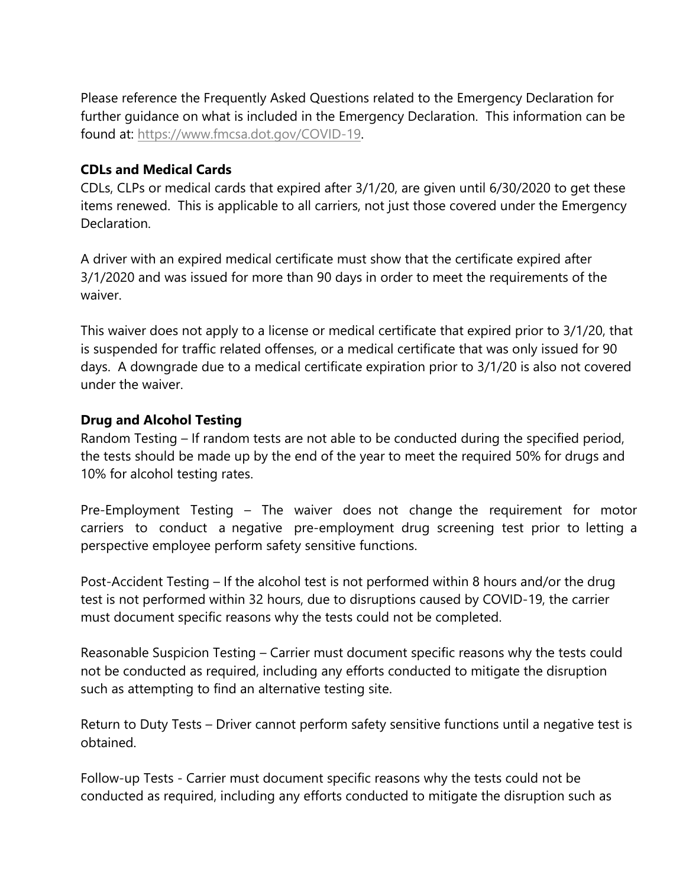Please reference the Frequently Asked Questions related to the Emergency Declaration for further guidance on what is included in the Emergency Declaration. This information can be found at: [https://www.fmcsa.dot.gov/COVID-19.](https://www.fmcsa.dot.gov/COVID-19) 

#### **CDLs and Medical Cards**

CDLs, CLPs or medical cards that expired after 3/1/20, are given until 6/30/2020 to get these items renewed. This is applicable to all carriers, not just those covered under the Emergency **Declaration** 

A driver with an expired medical certificate must show that the certificate expired after 3/1/2020 and was issued for more than 90 days in order to meet the requirements of the waiver.

This waiver does not apply to a license or medical certificate that expired prior to 3/1/20, that is suspended for traffic related offenses, or a medical certificate that was only issued for 90 days. A downgrade due to a medical certificate expiration prior to 3/1/20 is also not covered under the waiver.

## **Drug and Alcohol Testing**

Random Testing – If random tests are not able to be conducted during the specified period, the tests should be made up by the end of the year to meet the required 50% for drugs and 10% for alcohol testing rates.

Pre-Employment Testing – The waiver does not change the requirement for motor carriers to conduct a negative pre-employment drug screening test prior to letting a perspective employee perform safety sensitive functions.

Post-Accident Testing – If the alcohol test is not performed within 8 hours and/or the drug test is not performed within 32 hours, due to disruptions caused by COVID-19, the carrier must document specific reasons why the tests could not be completed.

Reasonable Suspicion Testing – Carrier must document specific reasons why the tests could not be conducted as required, including any efforts conducted to mitigate the disruption such as attempting to find an alternative testing site.

Return to Duty Tests – Driver cannot perform safety sensitive functions until a negative test is obtained.

Follow-up Tests - Carrier must document specific reasons why the tests could not be conducted as required, including any efforts conducted to mitigate the disruption such as